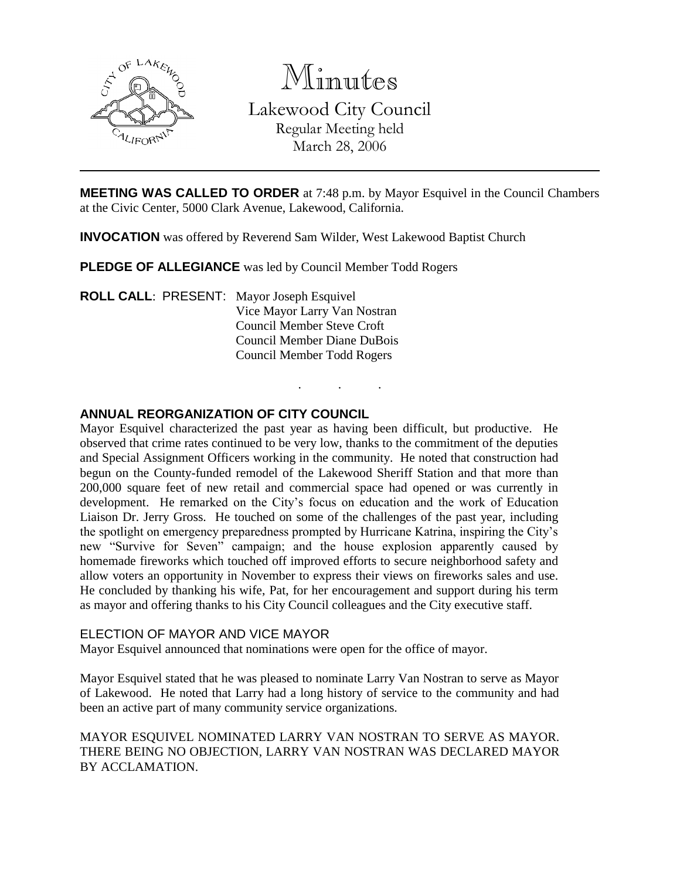

Minutes

Lakewood City Council Regular Meeting held

March 28, 2006

**MEETING WAS CALLED TO ORDER** at 7:48 p.m. by Mayor Esquivel in the Council Chambers at the Civic Center, 5000 Clark Avenue, Lakewood, California.

. . .

**INVOCATION** was offered by Reverend Sam Wilder, West Lakewood Baptist Church

**PLEDGE OF ALLEGIANCE** was led by Council Member Todd Rogers

**ROLL CALL**: PRESENT: Mayor Joseph Esquivel Vice Mayor Larry Van Nostran Council Member Steve Croft Council Member Diane DuBois Council Member Todd Rogers

# **ANNUAL REORGANIZATION OF CITY COUNCIL**

Mayor Esquivel characterized the past year as having been difficult, but productive. He observed that crime rates continued to be very low, thanks to the commitment of the deputies and Special Assignment Officers working in the community. He noted that construction had begun on the County-funded remodel of the Lakewood Sheriff Station and that more than 200,000 square feet of new retail and commercial space had opened or was currently in development. He remarked on the City's focus on education and the work of Education Liaison Dr. Jerry Gross. He touched on some of the challenges of the past year, including the spotlight on emergency preparedness prompted by Hurricane Katrina, inspiring the City's new "Survive for Seven" campaign; and the house explosion apparently caused by homemade fireworks which touched off improved efforts to secure neighborhood safety and allow voters an opportunity in November to express their views on fireworks sales and use. He concluded by thanking his wife, Pat, for her encouragement and support during his term as mayor and offering thanks to his City Council colleagues and the City executive staff.

## ELECTION OF MAYOR AND VICE MAYOR

Mayor Esquivel announced that nominations were open for the office of mayor.

Mayor Esquivel stated that he was pleased to nominate Larry Van Nostran to serve as Mayor of Lakewood. He noted that Larry had a long history of service to the community and had been an active part of many community service organizations.

MAYOR ESQUIVEL NOMINATED LARRY VAN NOSTRAN TO SERVE AS MAYOR. THERE BEING NO OBJECTION, LARRY VAN NOSTRAN WAS DECLARED MAYOR BY ACCLAMATION.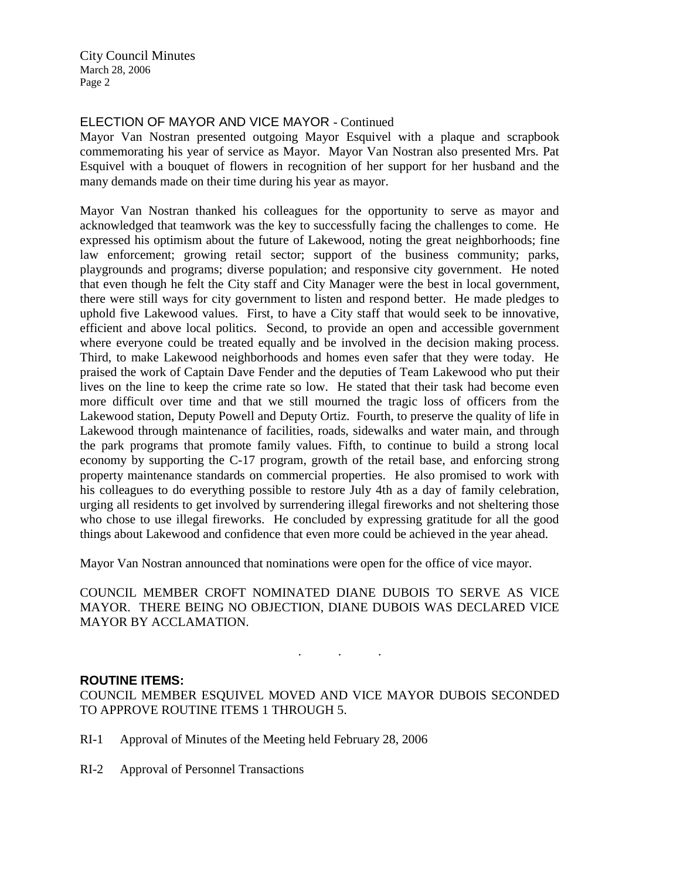City Council Minutes March 28, 2006 Page 2

### ELECTION OF MAYOR AND VICE MAYOR - Continued

Mayor Van Nostran presented outgoing Mayor Esquivel with a plaque and scrapbook commemorating his year of service as Mayor. Mayor Van Nostran also presented Mrs. Pat Esquivel with a bouquet of flowers in recognition of her support for her husband and the many demands made on their time during his year as mayor.

Mayor Van Nostran thanked his colleagues for the opportunity to serve as mayor and acknowledged that teamwork was the key to successfully facing the challenges to come. He expressed his optimism about the future of Lakewood, noting the great neighborhoods; fine law enforcement; growing retail sector; support of the business community; parks, playgrounds and programs; diverse population; and responsive city government. He noted that even though he felt the City staff and City Manager were the best in local government, there were still ways for city government to listen and respond better. He made pledges to uphold five Lakewood values. First, to have a City staff that would seek to be innovative, efficient and above local politics. Second, to provide an open and accessible government where everyone could be treated equally and be involved in the decision making process. Third, to make Lakewood neighborhoods and homes even safer that they were today. He praised the work of Captain Dave Fender and the deputies of Team Lakewood who put their lives on the line to keep the crime rate so low. He stated that their task had become even more difficult over time and that we still mourned the tragic loss of officers from the Lakewood station, Deputy Powell and Deputy Ortiz. Fourth, to preserve the quality of life in Lakewood through maintenance of facilities, roads, sidewalks and water main, and through the park programs that promote family values. Fifth, to continue to build a strong local economy by supporting the C-17 program, growth of the retail base, and enforcing strong property maintenance standards on commercial properties. He also promised to work with his colleagues to do everything possible to restore July 4th as a day of family celebration, urging all residents to get involved by surrendering illegal fireworks and not sheltering those who chose to use illegal fireworks. He concluded by expressing gratitude for all the good things about Lakewood and confidence that even more could be achieved in the year ahead.

Mayor Van Nostran announced that nominations were open for the office of vice mayor.

COUNCIL MEMBER CROFT NOMINATED DIANE DUBOIS TO SERVE AS VICE MAYOR. THERE BEING NO OBJECTION, DIANE DUBOIS WAS DECLARED VICE MAYOR BY ACCLAMATION.

. . .

#### **ROUTINE ITEMS:**

COUNCIL MEMBER ESQUIVEL MOVED AND VICE MAYOR DUBOIS SECONDED TO APPROVE ROUTINE ITEMS 1 THROUGH 5.

- RI-1 Approval of Minutes of the Meeting held February 28, 2006
- RI-2 Approval of Personnel Transactions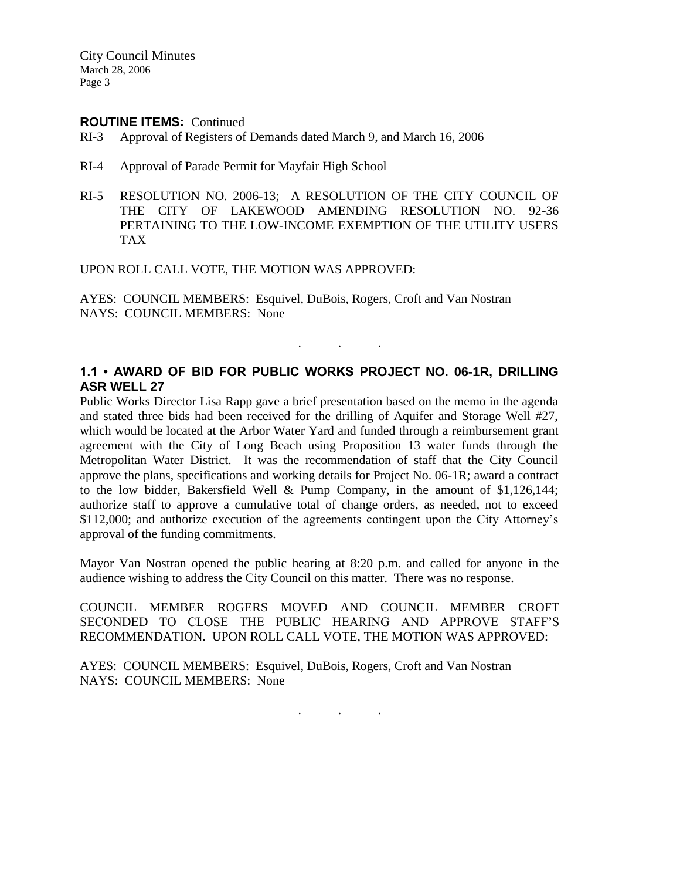City Council Minutes March 28, 2006 Page 3

#### **ROUTINE ITEMS:** Continued

- RI-3 Approval of Registers of Demands dated March 9, and March 16, 2006
- RI-4 Approval of Parade Permit for Mayfair High School
- RI-5 RESOLUTION NO. 2006-13; A RESOLUTION OF THE CITY COUNCIL OF THE CITY OF LAKEWOOD AMENDING RESOLUTION NO. 92-36 PERTAINING TO THE LOW-INCOME EXEMPTION OF THE UTILITY USERS TAX

UPON ROLL CALL VOTE, THE MOTION WAS APPROVED:

AYES: COUNCIL MEMBERS: Esquivel, DuBois, Rogers, Croft and Van Nostran NAYS: COUNCIL MEMBERS: None

## **1.1 • AWARD OF BID FOR PUBLIC WORKS PROJECT NO. 06-1R, DRILLING ASR WELL 27**

. . .

Public Works Director Lisa Rapp gave a brief presentation based on the memo in the agenda and stated three bids had been received for the drilling of Aquifer and Storage Well #27, which would be located at the Arbor Water Yard and funded through a reimbursement grant agreement with the City of Long Beach using Proposition 13 water funds through the Metropolitan Water District. It was the recommendation of staff that the City Council approve the plans, specifications and working details for Project No. 06-1R; award a contract to the low bidder, Bakersfield Well & Pump Company, in the amount of \$1,126,144; authorize staff to approve a cumulative total of change orders, as needed, not to exceed \$112,000; and authorize execution of the agreements contingent upon the City Attorney's approval of the funding commitments.

Mayor Van Nostran opened the public hearing at 8:20 p.m. and called for anyone in the audience wishing to address the City Council on this matter. There was no response.

COUNCIL MEMBER ROGERS MOVED AND COUNCIL MEMBER CROFT SECONDED TO CLOSE THE PUBLIC HEARING AND APPROVE STAFF'S RECOMMENDATION. UPON ROLL CALL VOTE, THE MOTION WAS APPROVED:

AYES: COUNCIL MEMBERS: Esquivel, DuBois, Rogers, Croft and Van Nostran NAYS: COUNCIL MEMBERS: None

. . .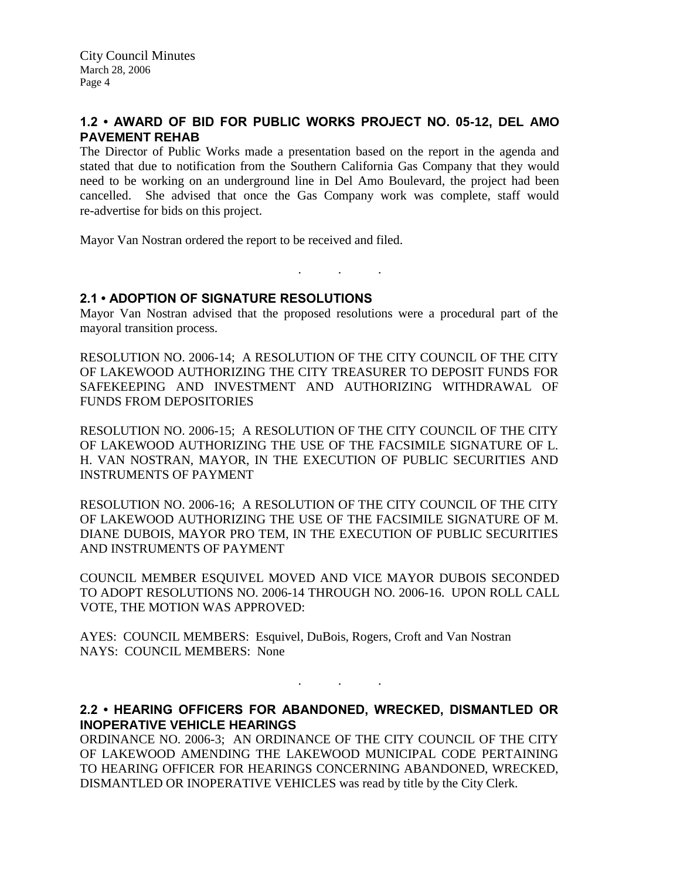## **1.2 • AWARD OF BID FOR PUBLIC WORKS PROJECT NO. 05-12, DEL AMO PAVEMENT REHAB**

The Director of Public Works made a presentation based on the report in the agenda and stated that due to notification from the Southern California Gas Company that they would need to be working on an underground line in Del Amo Boulevard, the project had been cancelled. She advised that once the Gas Company work was complete, staff would re-advertise for bids on this project.

Mayor Van Nostran ordered the report to be received and filed.

**2.1 • ADOPTION OF SIGNATURE RESOLUTIONS**

Mayor Van Nostran advised that the proposed resolutions were a procedural part of the mayoral transition process.

. . .

RESOLUTION NO. 2006-14; A RESOLUTION OF THE CITY COUNCIL OF THE CITY OF LAKEWOOD AUTHORIZING THE CITY TREASURER TO DEPOSIT FUNDS FOR SAFEKEEPING AND INVESTMENT AND AUTHORIZING WITHDRAWAL OF FUNDS FROM DEPOSITORIES

RESOLUTION NO. 2006-15; A RESOLUTION OF THE CITY COUNCIL OF THE CITY OF LAKEWOOD AUTHORIZING THE USE OF THE FACSIMILE SIGNATURE OF L. H. VAN NOSTRAN, MAYOR, IN THE EXECUTION OF PUBLIC SECURITIES AND INSTRUMENTS OF PAYMENT

RESOLUTION NO. 2006-16; A RESOLUTION OF THE CITY COUNCIL OF THE CITY OF LAKEWOOD AUTHORIZING THE USE OF THE FACSIMILE SIGNATURE OF M. DIANE DUBOIS, MAYOR PRO TEM, IN THE EXECUTION OF PUBLIC SECURITIES AND INSTRUMENTS OF PAYMENT

COUNCIL MEMBER ESQUIVEL MOVED AND VICE MAYOR DUBOIS SECONDED TO ADOPT RESOLUTIONS NO. 2006-14 THROUGH NO. 2006-16. UPON ROLL CALL VOTE, THE MOTION WAS APPROVED:

AYES: COUNCIL MEMBERS: Esquivel, DuBois, Rogers, Croft and Van Nostran NAYS: COUNCIL MEMBERS: None

**2.2 • HEARING OFFICERS FOR ABANDONED, WRECKED, DISMANTLED OR INOPERATIVE VEHICLE HEARINGS**

. . .

ORDINANCE NO. 2006-3; AN ORDINANCE OF THE CITY COUNCIL OF THE CITY OF LAKEWOOD AMENDING THE LAKEWOOD MUNICIPAL CODE PERTAINING TO HEARING OFFICER FOR HEARINGS CONCERNING ABANDONED, WRECKED, DISMANTLED OR INOPERATIVE VEHICLES was read by title by the City Clerk.